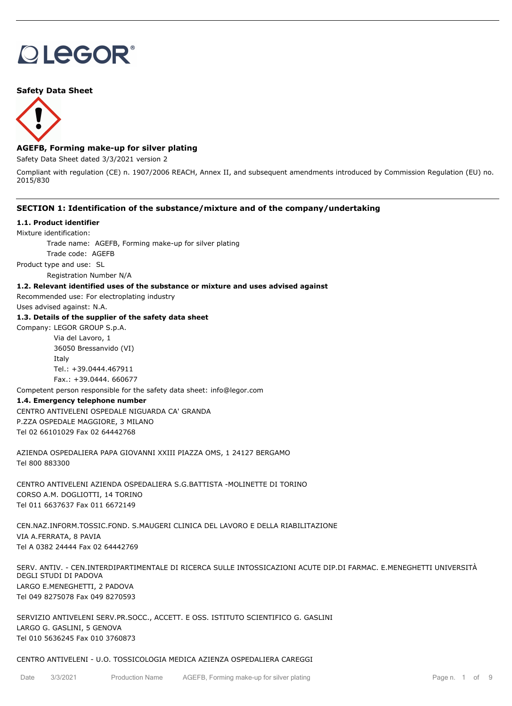# **DLEGOR®**

## **Safety Data Sheet**



# **AGEFB, Forming make-up for silver plating**

Safety Data Sheet dated 3/3/2021 version 2

Compliant with regulation (CE) n. 1907/2006 REACH, Annex II, and subsequent amendments introduced by Commission Regulation (EU) no. 2015/830

## **SECTION 1: Identification of the substance/mixture and of the company/undertaking**

#### **1.1. Product identifier**

Mixture identification:

Trade name: AGEFB, Forming make-up for silver plating

Trade code: AGEFB

Product type and use: SL

Registration Number N/A

### **1.2. Relevant identified uses of the substance or mixture and uses advised against**

Recommended use: For electroplating industry

Uses advised against: N.A.

## **1.3. Details of the supplier of the safety data sheet**

Company: LEGOR GROUP S.p.A. Via del Lavoro, 1

> 36050 Bressanvido (VI) Italy Tel.: +39.0444.467911 Fax.: +39.0444. 660677

Competent person responsible for the safety data sheet: info@legor.com

#### **1.4. Emergency telephone number**

CENTRO ANTIVELENI OSPEDALE NIGUARDA CA' GRANDA P.ZZA OSPEDALE MAGGIORE, 3 MILANO Tel 02 66101029 Fax 02 64442768

AZIENDA OSPEDALIERA PAPA GIOVANNI XXIII PIAZZA OMS, 1 24127 BERGAMO Tel 800 883300

CENTRO ANTIVELENI AZIENDA OSPEDALIERA S.G.BATTISTA -MOLINETTE DI TORINO CORSO A.M. DOGLIOTTI, 14 TORINO Tel 011 6637637 Fax 011 6672149

CEN.NAZ.INFORM.TOSSIC.FOND. S.MAUGERI CLINICA DEL LAVORO E DELLA RIABILITAZIONE VIA A.FERRATA, 8 PAVIA Tel A 0382 24444 Fax 02 64442769

SERV. ANTIV. - CEN.INTERDIPARTIMENTALE DI RICERCA SULLE INTOSSICAZIONI ACUTE DIP.DI FARMAC. E.MENEGHETTI UNIVERSITÀ DEGLI STUDI DI PADOVA LARGO E.MENEGHETTI, 2 PADOVA Tel 049 8275078 Fax 049 8270593

SERVIZIO ANTIVELENI SERV.PR.SOCC., ACCETT. E OSS. ISTITUTO SCIENTIFICO G. GASLINI LARGO G. GASLINI, 5 GENOVA Tel 010 5636245 Fax 010 3760873

#### CENTRO ANTIVELENI - U.O. TOSSICOLOGIA MEDICA AZIENZA OSPEDALIERA CAREGGI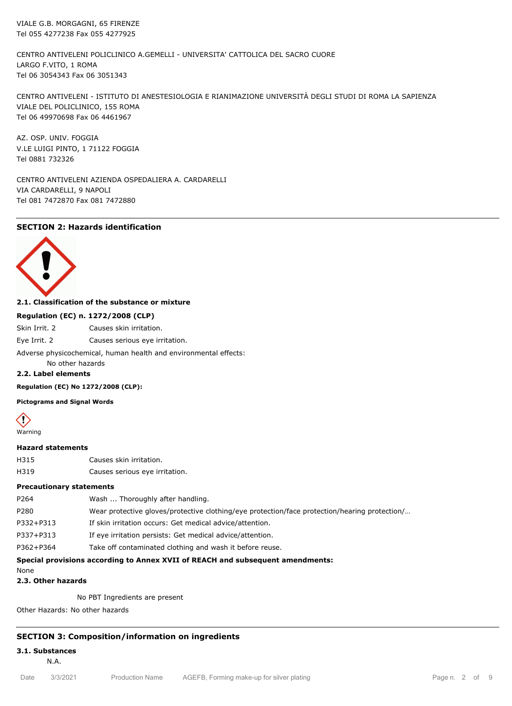VIALE G.B. MORGAGNI, 65 FIRENZE Tel 055 4277238 Fax 055 4277925

CENTRO ANTIVELENI POLICLINICO A.GEMELLI - UNIVERSITA' CATTOLICA DEL SACRO CUORE LARGO F.VITO, 1 ROMA Tel 06 3054343 Fax 06 3051343

CENTRO ANTIVELENI - ISTITUTO DI ANESTESIOLOGIA E RIANIMAZIONE UNIVERSITÀ DEGLI STUDI DI ROMA LA SAPIENZA VIALE DEL POLICLINICO, 155 ROMA Tel 06 49970698 Fax 06 4461967

AZ. OSP. UNIV. FOGGIA V.LE LUIGI PINTO, 1 71122 FOGGIA Tel 0881 732326

CENTRO ANTIVELENI AZIENDA OSPEDALIERA A. CARDARELLI VIA CARDARELLI, 9 NAPOLI Tel 081 7472870 Fax 081 7472880

# **SECTION 2: Hazards identification**



### **2.1. Classification of the substance or mixture**

## **Regulation (EC) n. 1272/2008 (CLP)**

Skin Irrit. 2 Causes skin irritation.

Eye Irrit. 2 Causes serious eye irritation.

Adverse physicochemical, human health and environmental effects:

# No other hazards

# **2.2. Label elements**

**Regulation (EC) No 1272/2008 (CLP):**

**Pictograms and Signal Words**



# **Hazard statements**

- H315 Causes skin irritation.
- H319 Causes serious eye irritation.

# **Precautionary statements**

| Special provisions according to Annex XVII of REACH and subsequent amendments: |                                                                                               |  |  |  |
|--------------------------------------------------------------------------------|-----------------------------------------------------------------------------------------------|--|--|--|
| P362+P364                                                                      | Take off contaminated clothing and wash it before reuse.                                      |  |  |  |
| P337+P313                                                                      | If eye irritation persists: Get medical advice/attention.                                     |  |  |  |
| P332+P313                                                                      | If skin irritation occurs: Get medical advice/attention.                                      |  |  |  |
| P280                                                                           | Wear protective gloves/protective clothing/eye protection/face protection/hearing protection/ |  |  |  |
| P264                                                                           | Wash  Thoroughly after handling.                                                              |  |  |  |

None

#### **2.3. Other hazards**

No PBT Ingredients are present

Other Hazards: No other hazards

## **SECTION 3: Composition/information on ingredients**

#### **3.1. Substances**

N.A.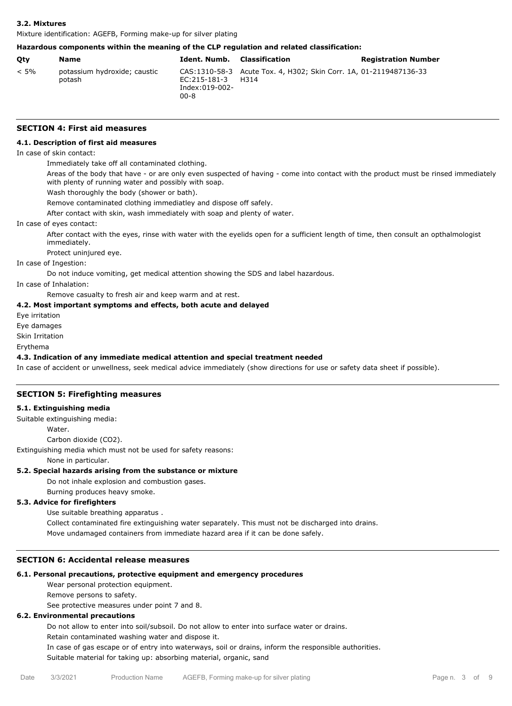#### **3.2. Mixtures**

Mixture identification: AGEFB, Forming make-up for silver plating

# **Hazardous components within the meaning of the CLP regulation and related classification:**

| Otv     | Name                                   | Ident. Numb.                           | Classification                                                            | <b>Registration Number</b> |
|---------|----------------------------------------|----------------------------------------|---------------------------------------------------------------------------|----------------------------|
| $< 5\%$ | potassium hydroxide; caustic<br>potash | EC:215-181-3<br>Index:019-002-<br>00-8 | CAS:1310-58-3 Acute Tox. 4, H302; Skin Corr. 1A, 01-2119487136-33<br>H314 |                            |

# **SECTION 4: First aid measures**

# **4.1. Description of first aid measures**

# In case of skin contact:

Immediately take off all contaminated clothing.

Areas of the body that have - or are only even suspected of having - come into contact with the product must be rinsed immediately with plenty of running water and possibly with soap.

Wash thoroughly the body (shower or bath).

Remove contaminated clothing immediatley and dispose off safely.

After contact with skin, wash immediately with soap and plenty of water.

#### In case of eyes contact:

After contact with the eyes, rinse with water with the eyelids open for a sufficient length of time, then consult an opthalmologist immediately.

Protect uninjured eye.

In case of Ingestion:

Do not induce vomiting, get medical attention showing the SDS and label hazardous.

In case of Inhalation:

Remove casualty to fresh air and keep warm and at rest.

#### **4.2. Most important symptoms and effects, both acute and delayed**

Eye irritation

Eye damages

Skin Irritation

Erythema

#### **4.3. Indication of any immediate medical attention and special treatment needed**

In case of accident or unwellness, seek medical advice immediately (show directions for use or safety data sheet if possible).

# **SECTION 5: Firefighting measures**

#### **5.1. Extinguishing media**

Suitable extinguishing media:

**Water** 

Carbon dioxide (CO2).

Extinguishing media which must not be used for safety reasons:

None in particular.

# **5.2. Special hazards arising from the substance or mixture**

Do not inhale explosion and combustion gases.

Burning produces heavy smoke.

# **5.3. Advice for firefighters**

Use suitable breathing apparatus .

Collect contaminated fire extinguishing water separately. This must not be discharged into drains.

Move undamaged containers from immediate hazard area if it can be done safely.

# **SECTION 6: Accidental release measures**

# **6.1. Personal precautions, protective equipment and emergency procedures**

Wear personal protection equipment.

Remove persons to safety.

See protective measures under point 7 and 8.

# **6.2. Environmental precautions**

Do not allow to enter into soil/subsoil. Do not allow to enter into surface water or drains.

Retain contaminated washing water and dispose it.

In case of gas escape or of entry into waterways, soil or drains, inform the responsible authorities.

Suitable material for taking up: absorbing material, organic, sand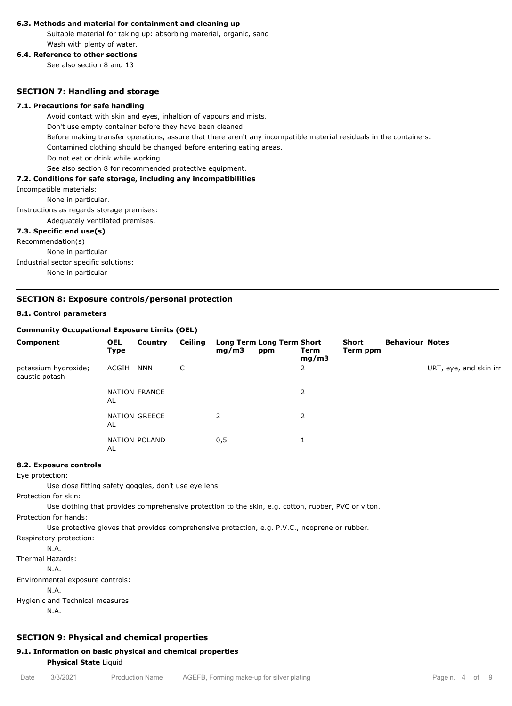#### **6.3. Methods and material for containment and cleaning up**

Suitable material for taking up: absorbing material, organic, sand Wash with plenty of water.

# **6.4. Reference to other sections**

See also section 8 and 13

#### **SECTION 7: Handling and storage**

#### **7.1. Precautions for safe handling**

Avoid contact with skin and eyes, inhaltion of vapours and mists.

Don't use empty container before they have been cleaned.

Before making transfer operations, assure that there aren't any incompatible material residuals in the containers.

Contamined clothing should be changed before entering eating areas.

Do not eat or drink while working.

See also section 8 for recommended protective equipment.

## **7.2. Conditions for safe storage, including any incompatibilities**

Incompatible materials:

None in particular.

Instructions as regards storage premises:

Adequately ventilated premises.

#### **7.3. Specific end use(s)**

Recommendation(s)

None in particular Industrial sector specific solutions: None in particular

### **SECTION 8: Exposure controls/personal protection**

#### **8.1. Control parameters**

#### **Community Occupational Exposure Limits (OEL)**

| Component                              | <b>OEL</b><br><b>Type</b> | Country       | Ceiling | mg/m3         | Long Term Long Term Short<br>ppm | Term<br>mg/m3  | Short<br>Term ppm | <b>Behaviour Notes</b> |                        |
|----------------------------------------|---------------------------|---------------|---------|---------------|----------------------------------|----------------|-------------------|------------------------|------------------------|
| potassium hydroxide;<br>caustic potash | ACGIH                     | <b>NNN</b>    | C       |               |                                  | $\overline{2}$ |                   |                        | URT, eye, and skin irr |
|                                        | AL                        | NATION FRANCE |         |               |                                  | 2              |                   |                        |                        |
|                                        | AL                        | NATION GREECE |         | $\mathcal{P}$ |                                  | $\overline{2}$ |                   |                        |                        |
|                                        | AL                        | NATION POLAND |         | 0,5           |                                  |                |                   |                        |                        |

#### **8.2. Exposure controls**

Eye protection:

Use close fitting safety goggles, don't use eye lens.

Protection for skin:

Use clothing that provides comprehensive protection to the skin, e.g. cotton, rubber, PVC or viton.

Protection for hands:

Use protective gloves that provides comprehensive protection, e.g. P.V.C., neoprene or rubber.

Respiratory protection:

N.A.

Thermal Hazards: N.A. Environmental exposure controls: N.A. Hygienic and Technical measures

N.A.

# **SECTION 9: Physical and chemical properties**

# **9.1. Information on basic physical and chemical properties Physical State** Liquid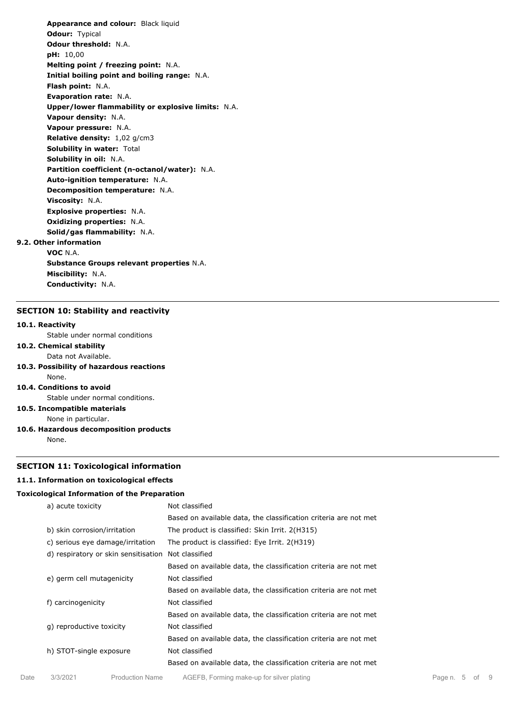**Appearance and colour:** Black liquid **Odour:** Typical **Odour threshold:** N.A. **pH:** 10,00 **Melting point / freezing point:** N.A. **Initial boiling point and boiling range:** N.A. **Flash point:** N.A. **Evaporation rate:** N.A. **Upper/lower flammability or explosive limits:** N.A. **Vapour density:** N.A. **Vapour pressure:** N.A. **Relative density:** 1,02 g/cm3 **Solubility in water:** Total **Solubility in oil:** N.A. **Partition coefficient (n-octanol/water):** N.A. **Auto-ignition temperature:** N.A. **Decomposition temperature:** N.A. **Viscosity:** N.A. **Explosive properties:** N.A. **Oxidizing properties:** N.A. **Solid/gas flammability:** N.A. **9.2. Other information VOC** N.A.

**Substance Groups relevant properties** N.A. **Miscibility:** N.A. **Conductivity:** N.A.

#### **SECTION 10: Stability and reactivity**

#### **10.1. Reactivity**

Stable under normal conditions

## **10.2. Chemical stability**

- Data not Available.
- **10.3. Possibility of hazardous reactions** None.

## **10.4. Conditions to avoid**

Stable under normal conditions.

**10.5. Incompatible materials**

None in particular.

**10.6. Hazardous decomposition products**

None.

#### **SECTION 11: Toxicological information**

#### **11.1. Information on toxicological effects**

#### **Toxicological Information of the Preparation**

| a) acute toxicity                    | Not classified                                                   |
|--------------------------------------|------------------------------------------------------------------|
|                                      | Based on available data, the classification criteria are not met |
| b) skin corrosion/irritation         | The product is classified: Skin Irrit. 2(H315)                   |
| c) serious eye damage/irritation     | The product is classified: Eye Irrit. 2(H319)                    |
| d) respiratory or skin sensitisation | Not classified                                                   |
|                                      | Based on available data, the classification criteria are not met |
| e) germ cell mutagenicity            | Not classified                                                   |
|                                      | Based on available data, the classification criteria are not met |
| f) carcinogenicity                   | Not classified                                                   |
|                                      | Based on available data, the classification criteria are not met |
| q) reproductive toxicity             | Not classified                                                   |
|                                      | Based on available data, the classification criteria are not met |
| h) STOT-single exposure              | Not classified                                                   |
|                                      | Based on available data, the classification criteria are not met |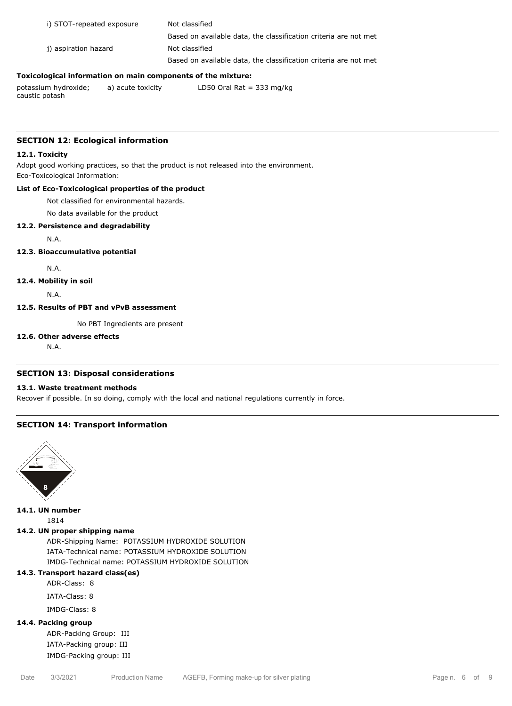| i) STOT-repeated exposure | Not classified                                                   |
|---------------------------|------------------------------------------------------------------|
|                           | Based on available data, the classification criteria are not met |
| i) aspiration hazard      | Not classified                                                   |
|                           | Based on available data, the classification criteria are not met |
|                           |                                                                  |

# **Toxicological information on main components of the mixture:**

potassium hydroxide; caustic potash a) acute toxicity LD50 Oral Rat = 333 mg/kg

# **SECTION 12: Ecological information**

#### **12.1. Toxicity**

Adopt good working practices, so that the product is not released into the environment. Eco-Toxicological Information:

# **List of Eco-Toxicological properties of the product**

Not classified for environmental hazards.

No data available for the product

# **12.2. Persistence and degradability**

N.A.

### **12.3. Bioaccumulative potential**

N.A.

### **12.4. Mobility in soil**

N.A.

### **12.5. Results of PBT and vPvB assessment**

No PBT Ingredients are present

# **12.6. Other adverse effects**

N.A.

# **SECTION 13: Disposal considerations**

# **13.1. Waste treatment methods**

Recover if possible. In so doing, comply with the local and national regulations currently in force.

# **SECTION 14: Transport information**



**14.1. UN number**

1814

# **14.2. UN proper shipping name**

ADR-Shipping Name: POTASSIUM HYDROXIDE SOLUTION IATA-Technical name: POTASSIUM HYDROXIDE SOLUTION IMDG-Technical name: POTASSIUM HYDROXIDE SOLUTION

# **14.3. Transport hazard class(es)**

ADR-Class: 8

IATA-Class: 8

IMDG-Class: 8

# **14.4. Packing group**

ADR-Packing Group: III IATA-Packing group: III IMDG-Packing group: III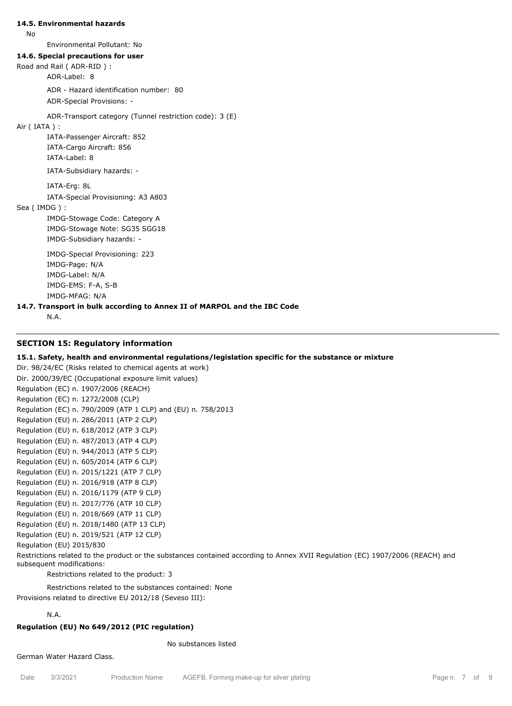#### **14.5. Environmental hazards**

No

Environmental Pollutant: No

#### **14.6. Special precautions for user**

Road and Rail ( ADR-RID ) :

ADR-Label: 8

ADR - Hazard identification number: 80

ADR-Special Provisions: -

ADR-Transport category (Tunnel restriction code): 3 (E)

## Air ( IATA ) :

IATA-Passenger Aircraft: 852 IATA-Cargo Aircraft: 856 IATA-Label: 8

IATA-Subsidiary hazards: -

IATA-Erg: 8L

IATA-Special Provisioning: A3 A803

Sea ( IMDG ) :

IMDG-Stowage Code: Category A IMDG-Stowage Note: SG35 SGG18 IMDG-Subsidiary hazards: -

IMDG-Special Provisioning: 223 IMDG-Page: N/A IMDG-Label: N/A IMDG-EMS: F-A, S-B IMDG-MFAG: N/A

### **14.7. Transport in bulk according to Annex II of MARPOL and the IBC Code**

N.A.

### **SECTION 15: Regulatory information**

#### **15.1. Safety, health and environmental regulations/legislation specific for the substance or mixture**

Dir. 98/24/EC (Risks related to chemical agents at work) Dir. 2000/39/EC (Occupational exposure limit values) Regulation (EC) n. 1907/2006 (REACH) Regulation (EC) n. 1272/2008 (CLP) Regulation (EC) n. 790/2009 (ATP 1 CLP) and (EU) n. 758/2013 Regulation (EU) n. 286/2011 (ATP 2 CLP) Regulation (EU) n. 618/2012 (ATP 3 CLP) Regulation (EU) n. 487/2013 (ATP 4 CLP) Regulation (EU) n. 944/2013 (ATP 5 CLP) Regulation (EU) n. 605/2014 (ATP 6 CLP) Regulation (EU) n. 2015/1221 (ATP 7 CLP) Regulation (EU) n. 2016/918 (ATP 8 CLP) Regulation (EU) n. 2016/1179 (ATP 9 CLP) Regulation (EU) n. 2017/776 (ATP 10 CLP) Regulation (EU) n. 2018/669 (ATP 11 CLP) Regulation (EU) n. 2018/1480 (ATP 13 CLP) Regulation (EU) n. 2019/521 (ATP 12 CLP) Regulation (EU) 2015/830

Restrictions related to the product or the substances contained according to Annex XVII Regulation (EC) 1907/2006 (REACH) and subsequent modifications:

Restrictions related to the product: 3

Restrictions related to the substances contained: None Provisions related to directive EU 2012/18 (Seveso III):

# N.A.

#### **Regulation (EU) No 649/2012 (PIC regulation)**

No substances listed

German Water Hazard Class.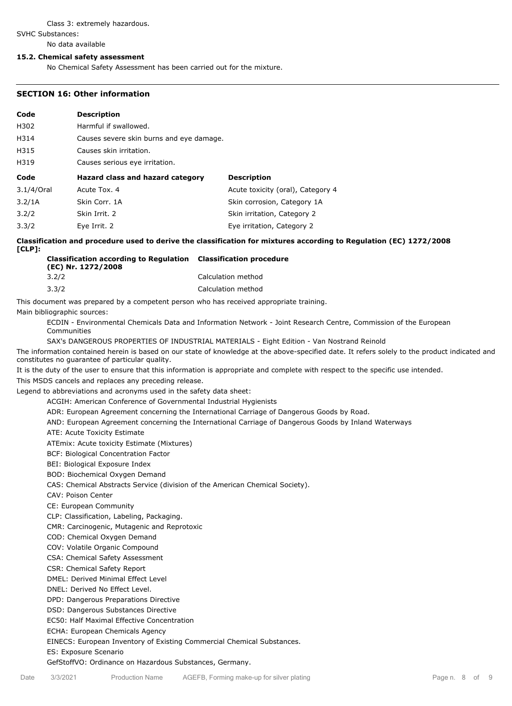#### Class 3: extremely hazardous.

SVHC Substances:

No data available

#### **15.2. Chemical safety assessment**

No Chemical Safety Assessment has been carried out for the mixture.

#### **SECTION 16: Other information**

|                                          |                                   | <b>Description</b>               | Code                 |  |
|------------------------------------------|-----------------------------------|----------------------------------|----------------------|--|
| Harmful if swallowed.                    |                                   |                                  |                      |  |
| Causes severe skin burns and eye damage. |                                   |                                  |                      |  |
| Causes skin irritation.                  |                                   |                                  |                      |  |
| Causes serious eye irritation.           |                                   |                                  |                      |  |
|                                          | <b>Description</b>                | Hazard class and hazard category |                      |  |
|                                          | Acute toxicity (oral), Category 4 | Acute Tox. 4                     | 3.1/4/Oral           |  |
|                                          | Skin corrosion, Category 1A       | Skin Corr, 1A                    | 3.2/1A               |  |
|                                          | Skin irritation, Category 2       | Skin Irrit. 2                    | 3.2/2                |  |
|                                          |                                   |                                  |                      |  |
|                                          |                                   |                                  | H315<br>H319<br>Code |  |

**Classification and procedure used to derive the classification for mixtures according to Regulation (EC) 1272/2008 [CLP]:**

| <b>Classification according to Regulation</b> Classification procedure<br>(EC) Nr. 1272/2008 |                    |
|----------------------------------------------------------------------------------------------|--------------------|
| 3.2/2                                                                                        | Calculation method |
| 3.3/2                                                                                        | Calculation method |

This document was prepared by a competent person who has received appropriate training.

Main bibliographic sources:

ECDIN - Environmental Chemicals Data and Information Network - Joint Research Centre, Commission of the European Communities

SAX's DANGEROUS PROPERTIES OF INDUSTRIAL MATERIALS - Eight Edition - Van Nostrand Reinold

The information contained herein is based on our state of knowledge at the above-specified date. It refers solely to the product indicated and constitutes no guarantee of particular quality.

It is the duty of the user to ensure that this information is appropriate and complete with respect to the specific use intended. This MSDS cancels and replaces any preceding release.

Legend to abbreviations and acronyms used in the safety data sheet:

ACGIH: American Conference of Governmental Industrial Hygienists

ADR: European Agreement concerning the International Carriage of Dangerous Goods by Road.

AND: European Agreement concerning the International Carriage of Dangerous Goods by Inland Waterways

ATE: Acute Toxicity Estimate

ATEmix: Acute toxicity Estimate (Mixtures)

BCF: Biological Concentration Factor

BEI: Biological Exposure Index

BOD: Biochemical Oxygen Demand

CAS: Chemical Abstracts Service (division of the American Chemical Society).

CAV: Poison Center

CE: European Community

CLP: Classification, Labeling, Packaging.

CMR: Carcinogenic, Mutagenic and Reprotoxic

COD: Chemical Oxygen Demand

COV: Volatile Organic Compound

CSA: Chemical Safety Assessment

CSR: Chemical Safety Report

DMEL: Derived Minimal Effect Level

DNEL: Derived No Effect Level.

DPD: Dangerous Preparations Directive

DSD: Dangerous Substances Directive

EC50: Half Maximal Effective Concentration

ECHA: European Chemicals Agency

EINECS: European Inventory of Existing Commercial Chemical Substances.

ES: Exposure Scenario

GefStoffVO: Ordinance on Hazardous Substances, Germany.